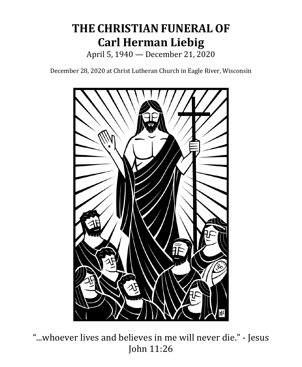# **THE CHRISTIAN FUNERALOF Carl Herman Liebig**

April 5, 1940 — December 21, 2020

December 28, 2020 at Christ Lutheran Church in Eagle River, Wisconsin



"...whoever lives and believes in me will never die." - Jesus John 11:26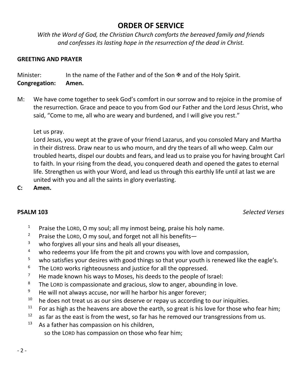# **ORDER OF SERVICE**

*With the Word of God, the Christian Church comforts the bereaved family and friends and confesses its lasting hope in the resurrection of the dead in Christ.*

### **GREETING AND PRAYER**

Minister: In the name of the Father and of the Son  $\mathbb F$  and of the Holy Spirit. **Congregation: Amen.**

M: We have come together to seek God's comfort in our sorrow and to rejoice in the promise of the resurrection. Grace and peace to you from God our Father and the Lord Jesus Christ, who said, "Come to me, all who are weary and burdened, and I will give you rest."

Let us pray.

Lord Jesus, you wept at the grave of your friend Lazarus, and you consoled Mary and Martha in their distress. Draw near to us who mourn, and dry the tears of all who weep. Calm our troubled hearts, dispel our doubts and fears, and lead us to praise you for having brought Carl to faith. In your rising from the dead, you conquered death and opened the gates to eternal life. Strengthen us with your Word, and lead us through this earthly life until at last we are united with you and all the saints in glory everlasting.

### **C: Amen.**

### **PSALM 103** *Selected Verses*

- <sup>1</sup> Praise the LORD, O my soul; all my inmost being, praise his holy name.
- <sup>2</sup> Praise the LORD, O my soul, and forget not all his benefits— $\frac{3}{2}$  who farging all your sing and basis all your disassess
- $3$  who forgives all your sins and heals all your diseases,<br> $4$  who redeems your life from the nit and crowns you w
- <sup>4</sup> who redeems your life from the pit and crowns you with love and compassion,<br><sup>5</sup> who satisfies your desires with good things so that your youth is repoyed like t
- $5$  who satisfies your desires with good things so that your youth is renewed like the eagle's.<br> $6$  The LOPP works righteousness and justice for all the engressed
- <sup>6</sup> The LORD works righteousness and justice for all the oppressed.<br><sup>7</sup> He made known his ways to Moses, his doods to the people of L
- <sup>7</sup> He made known his ways to Moses, his deeds to the people of Israel:<br><sup>8</sup> The LOPP is compassionate and grasious, slow to anger, abounding in
- <sup>8</sup> The LORD is compassionate and gracious, slow to anger, abounding in love.
- <sup>9</sup> He will not always accuse, nor will he harbor his anger forever;<br><sup>10</sup> he does not treat us as our sins desence or renay us assording t
- he does not treat us as our sins deserve or repay us according to our iniquities.
- <sup>11</sup> For as high as the heavens are above the earth, so great is his love for those who fear him;
- $12$  as far as the east is from the west, so far has he removed our transgressions from us.
- $13$  As a father has compassion on his children, so the LORD has compassion on those who fear him;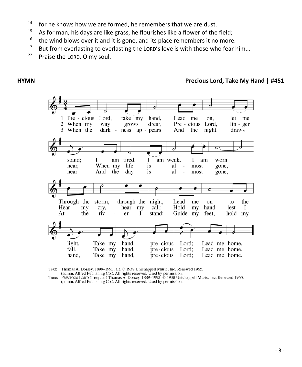- $14$  for he knows how we are formed, he remembers that we are dust.
- <sup>15</sup> As for man, his days are like grass, he flourishes like a flower of the field;
- <sup>16</sup> the wind blows over it and it is gone, and its place remembers it no more.<br><sup>17</sup> Put from overlasting to overlasting the LOD's love is with those who foar h
- But from everlasting to everlasting the LORD's love is with those who fear him...
- $22$  Praise the LORD, O my soul.

### **HYMN Precious Lord, Take My Hand | #451**



Text: Thomas A. Dorsey, 1899-1993, alt. © 1938 Unichappell Music, Inc. Renewed 1965.

Tune: (admin. Alfred Publishing Co.). All rights reserved. Used by permission.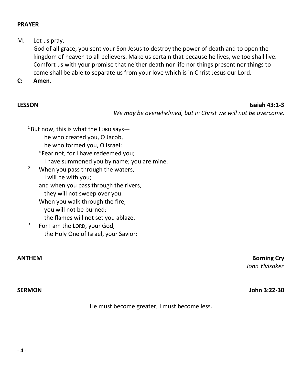### **PRAYER**

### M: Let us pray.

God of all grace, you sent your Son Jesus to destroy the power of death and to open the kingdom of heaven to all believers. Make us certain that because he lives, we too shall live. Comfort us with your promise that neither death nor life nor things present nor things to come shall be able to separate us from your love which is in Christ Jesus our Lord.

**C: Amen.**

### **LESSON Isaiah 43:1-3**

*We may be overwhelmed, but in Christ we will not be overcome.*

 $1$  But now, this is what the LORD sayshe who created you, O Jacob, he who formed you, O Israel: "Fear not, for I have redeemed you; I have summoned you by name; you are mine. <sup>2</sup> When you pass through the waters,

I will be with you; and when you pass through the rivers, they will not sweep over you. When you walk through the fire, you will not be burned; the flames will not set you ablaze.

3 For I am the LORD, your God, the Holy One of Israel, your Savior;

### **ANTHEM Borning Cry** *John Ylvisaker*

**SERMON John 3:22-30**

He must become greater; I must become less.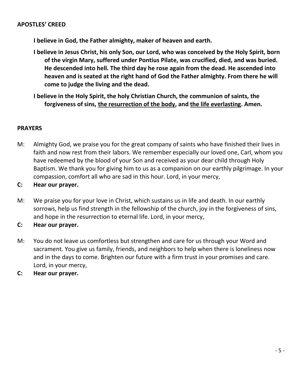### **APOSTLES' CREED**

**I believe in God, the Father almighty, maker of heaven and earth.** 

- **I believe in Jesus Christ, his only Son, our Lord, who was conceived by the Holy Spirit, born of the virgin Mary, suffered under Pontius Pilate, was crucified, died, and was buried. He descended into hell. The third day he rose again from the dead. He ascended into heaven and is seated at the right hand of God the Father almighty. From there he will come to judge the living and the dead.**
- **I believe in the Holy Spirit, the holy Christian Church, the communion of saints, the forgiveness of sins, the resurrection of the body, and the life everlasting. Amen.**

### **PRAYERS**

- M: Almighty God, we praise you for the great company of saints who have finished their lives in faith and now rest from their labors. We remember especially our loved one, Carl, whom you have redeemed by the blood of your Son and received as your dear child through Holy Baptism. We thank you for giving him to us as a companion on our earthly pilgrimage. In your compassion, comfort all who are sad in this hour. Lord, in your mercy,
- **C: Hear our prayer.**
- M: We praise you for your love in Christ, which sustains us in life and death. In our earthly sorrows, help us find strength in the fellowship of the church, joy in the forgiveness of sins, and hope in the resurrection to eternal life. Lord, in your mercy,
- **C: Hear our prayer.**
- M: You do not leave us comfortless but strengthen and care for us through your Word and sacrament. You give us family, friends, and neighbors to help when there is loneliness now and in the days to come. Brighten our future with a firm trust in your promises and care. Lord, in your mercy,
- **C: Hear our prayer.**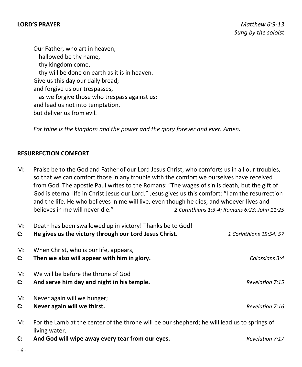Our Father, who art in heaven, hallowed be thy name, thy kingdom come, thy will be done on earth as it is in heaven. Give us this day our daily bread; and forgive us our trespasses, as we forgive those who trespass against us; and lead us not into temptation, but deliver us from evil.

*For thine is the kingdom and the power and the glory forever and ever. Amen.*

### **RESURRECTION COMFORT**

M: Praise be to the God and Father of our Lord Jesus Christ, who comforts us in all our troubles, so that we can comfort those in any trouble with the comfort we ourselves have received from God. The apostle Paul writes to the Romans: "The wages of sin is death, but the gift of God is eternal life in Christ Jesus our Lord." Jesus gives us this comfort: "I am the resurrection and the life. He who believes in me will live, even though he dies; and whoever lives and believes in me will never die." *2 Corinthians 1:3-4; Romans 6:23; John 11:25*

| M:<br>$\mathbf{C}$ : | Death has been swallowed up in victory! Thanks be to God!<br>He gives us the victory through our Lord Jesus Christ. | 1 Corinthians 15:54, 57 |
|----------------------|---------------------------------------------------------------------------------------------------------------------|-------------------------|
| M:<br>$\mathbf{C}$ : | When Christ, who is our life, appears,<br>Then we also will appear with him in glory.                               | Colossians 3:4          |
| M:<br>$\mathbf{C}$ : | We will be before the throne of God<br>And serve him day and night in his temple.                                   | Revelation 7:15         |
| M:<br>$\mathbf{C}$   | Never again will we hunger;<br>Never again will we thirst.                                                          | Revelation 7:16         |
| M:                   | For the Lamb at the center of the throne will be our shepherd; he will lead us to springs of                        |                         |
| $\mathbf{C}$         | living water.<br>And God will wipe away every tear from our eyes.                                                   | Revelation 7:17         |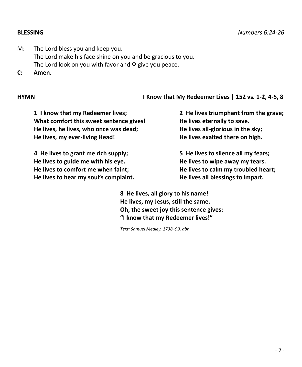- M: The Lord bless you and keep you. The Lord make his face shine on you and be gracious to you. The Lord look on you with favor and  $\mathfrak{B}$  give you peace.
- **C: Amen.**

### **HYMN I Know that My Redeemer Lives | 152 vs. 1-2, 4-5, 8**

**1 I know that my Redeemer lives; What comfort this sweet sentence gives! He lives, he lives, who once was dead; He lives, my ever-living Head!**

**4 He lives to grant me rich supply; He lives to guide me with his eye. He lives to comfort me when faint; He lives to hear my soul's complaint.** **2 He lives triumphant from the grave; He lives eternally to save. He lives all-glorious in the sky; He lives exalted there on high.**

**5 He lives to silence all my fears; He lives to wipe away my tears. He lives to calm my troubled heart; He lives all blessings to impart.**

**8 He lives, all glory to his name! He lives, my Jesus, still the same. Oh, the sweet joy this sentence gives: "I know that my Redeemer lives!"**

*Text: Samuel Medley, 1738–99, abr.*